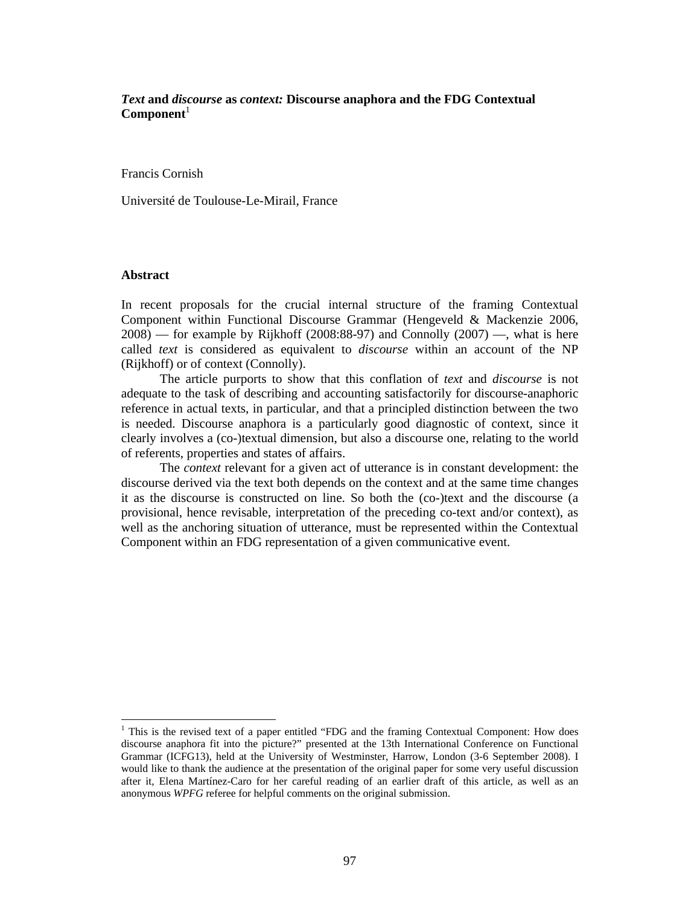# *Text* **and** *discourse* **as** *context:* **Discourse anaphora and the FDG Contextual**  Component<sup>1</sup>

Francis Cornish

Université de Toulouse-Le-Mirail, France

### **Abstract**

In recent proposals for the crucial internal structure of the framing Contextual Component within Functional Discourse Grammar (Hengeveld & Mackenzie 2006, 2008) — for example by Rijkhoff (2008:88-97) and Connolly (2007) —, what is here called *text* is considered as equivalent to *discourse* within an account of the NP (Rijkhoff) or of context (Connolly).

 The article purports to show that this conflation of *text* and *discourse* is not adequate to the task of describing and accounting satisfactorily for discourse-anaphoric reference in actual texts, in particular, and that a principled distinction between the two is needed. Discourse anaphora is a particularly good diagnostic of context, since it clearly involves a (co-)textual dimension, but also a discourse one, relating to the world of referents, properties and states of affairs.

 The *context* relevant for a given act of utterance is in constant development: the discourse derived via the text both depends on the context and at the same time changes it as the discourse is constructed on line. So both the (co-)text and the discourse (a provisional, hence revisable, interpretation of the preceding co-text and/or context), as well as the anchoring situation of utterance, must be represented within the Contextual Component within an FDG representation of a given communicative event.

<sup>&</sup>lt;sup>1</sup> This is the revised text of a paper entitled "FDG and the framing Contextual Component: How does discourse anaphora fit into the picture?" presented at the 13th International Conference on Functional Grammar (ICFG13), held at the University of Westminster, Harrow, London (3-6 September 2008). I would like to thank the audience at the presentation of the original paper for some very useful discussion after it, Elena Martínez-Caro for her careful reading of an earlier draft of this article, as well as an anonymous *WPFG* referee for helpful comments on the original submission.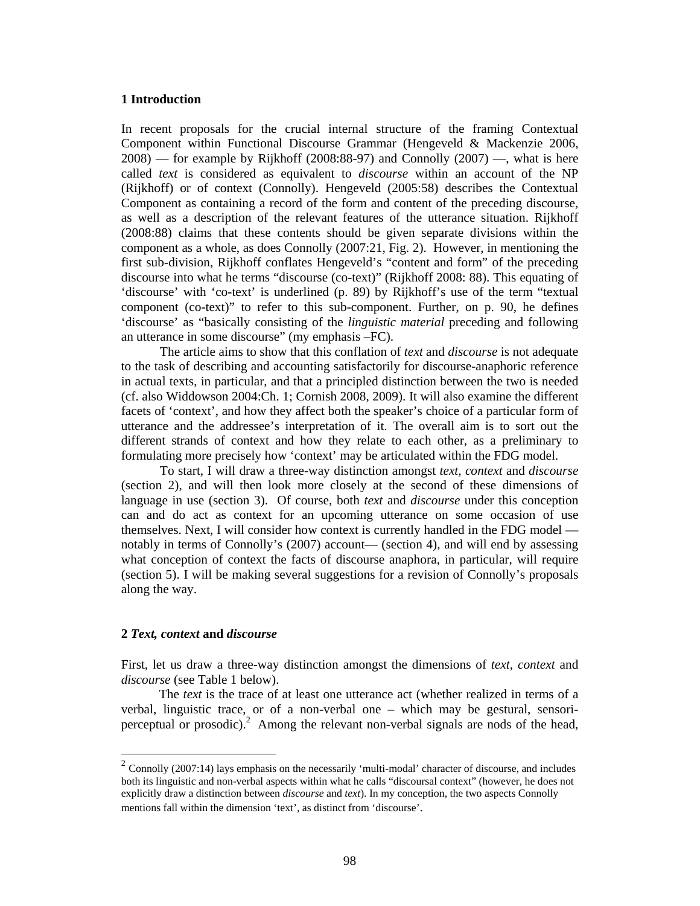### **1 Introduction**

In recent proposals for the crucial internal structure of the framing Contextual Component within Functional Discourse Grammar (Hengeveld & Mackenzie 2006,  $2008$ ) — for example by Rijkhoff (2008:88-97) and Connolly (2007) —, what is here called *text* is considered as equivalent to *discourse* within an account of the NP (Rijkhoff) or of context (Connolly). Hengeveld (2005:58) describes the Contextual Component as containing a record of the form and content of the preceding discourse, as well as a description of the relevant features of the utterance situation. Rijkhoff (2008:88) claims that these contents should be given separate divisions within the component as a whole, as does Connolly (2007:21, Fig. 2). However, in mentioning the first sub-division, Rijkhoff conflates Hengeveld's "content and form" of the preceding discourse into what he terms "discourse (co-text)" (Rijkhoff 2008: 88). This equating of 'discourse' with 'co-text' is underlined (p. 89) by Rijkhoff's use of the term "textual component (co-text)" to refer to this sub-component. Further, on p. 90, he defines 'discourse' as "basically consisting of the *linguistic material* preceding and following an utterance in some discourse" (my emphasis –FC).

 The article aims to show that this conflation of *text* and *discourse* is not adequate to the task of describing and accounting satisfactorily for discourse-anaphoric reference in actual texts, in particular, and that a principled distinction between the two is needed (cf. also Widdowson 2004:Ch. 1; Cornish 2008, 2009). It will also examine the different facets of 'context', and how they affect both the speaker's choice of a particular form of utterance and the addressee's interpretation of it. The overall aim is to sort out the different strands of context and how they relate to each other, as a preliminary to formulating more precisely how 'context' may be articulated within the FDG model.

 To start, I will draw a three-way distinction amongst *text, context* and *discourse* (section 2), and will then look more closely at the second of these dimensions of language in use (section 3). Of course, both *text* and *discourse* under this conception can and do act as context for an upcoming utterance on some occasion of use themselves. Next, I will consider how context is currently handled in the FDG model notably in terms of Connolly's (2007) account— (section 4), and will end by assessing what conception of context the facts of discourse anaphora, in particular, will require (section 5). I will be making several suggestions for a revision of Connolly's proposals along the way.

### **2** *Text, context* **and** *discourse*

 $\overline{a}$ 

First, let us draw a three-way distinction amongst the dimensions of *text, context* and *discourse* (see Table 1 below).

The *text* is the trace of at least one utterance act (whether realized in terms of a verbal, linguistic trace, or of a non-verbal one – which may be gestural, sensoriperceptual or prosodic).<sup>2</sup> Among the relevant non-verbal signals are nods of the head,

 $2^2$  Connolly (2007:14) lays emphasis on the necessarily 'multi-modal' character of discourse, and includes both its linguistic and non-verbal aspects within what he calls "discoursal context" (however, he does not explicitly draw a distinction between *discourse* and *text*). In my conception, the two aspects Connolly mentions fall within the dimension 'text', as distinct from 'discourse'.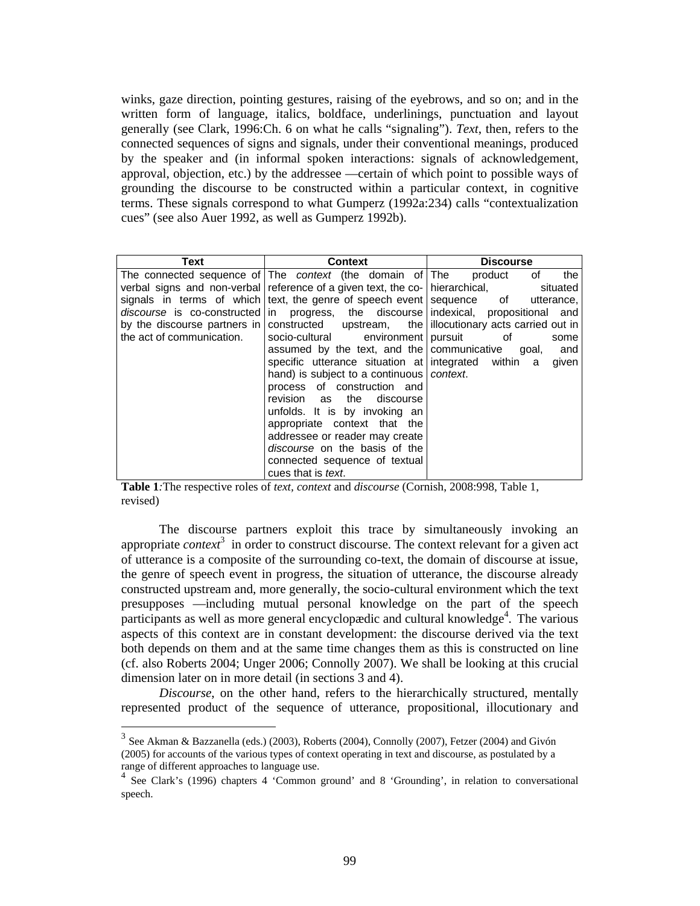winks, gaze direction, pointing gestures, raising of the eyebrows, and so on; and in the written form of language, italics, boldface, underlinings, punctuation and layout generally (see Clark, 1996:Ch. 6 on what he calls "signaling"). *Text*, then, refers to the connected sequences of signs and signals, under their conventional meanings, produced by the speaker and (in informal spoken interactions: signals of acknowledgement, approval, objection, etc.) by the addressee —certain of which point to possible ways of grounding the discourse to be constructed within a particular context, in cognitive terms. These signals correspond to what Gumperz (1992a:234) calls "contextualization cues" (see also Auer 1992, as well as Gumperz 1992b).

| Text                      | Context                                                                                  | <b>Discourse</b> |
|---------------------------|------------------------------------------------------------------------------------------|------------------|
|                           | The connected sequence of The <i>context</i> (the domain of The product of               | the              |
|                           | verbal signs and non-verbal reference of a given text, the co- hierarchical,             | situated         |
|                           | signals in terms of which text, the genre of speech event sequence of utterance,         |                  |
|                           | discourse is co-constructed in progress, the discourse indexical, propositional and      |                  |
|                           | by the discourse partners in constructed upstream, the illocutionary acts carried out in |                  |
| the act of communication. | socio-cultural environment   pursuit of                                                  | some             |
|                           | assumed by the text, and the communicative goal,                                         | and              |
|                           | specific utterance situation at integrated within a                                      | given            |
|                           | hand) is subject to a continuous   context.                                              |                  |
|                           | process of construction and                                                              |                  |
|                           | revision as the discourse                                                                |                  |
|                           | unfolds. It is by invoking an                                                            |                  |
|                           | appropriate context that the                                                             |                  |
|                           | addressee or reader may create                                                           |                  |
|                           | <i>discourse</i> on the basis of the                                                     |                  |
|                           | connected sequence of textual                                                            |                  |
|                           | cues that is <i>text</i> .                                                               |                  |

**Table 1***:*The respective roles of *text, context* and *discourse* (Cornish, 2008:998, Table 1, revised)

The discourse partners exploit this trace by simultaneously invoking an appropriate *context*<sup>3</sup> in order to construct discourse. The context relevant for a given act of utterance is a composite of the surrounding co-text, the domain of discourse at issue, the genre of speech event in progress, the situation of utterance, the discourse already constructed upstream and, more generally, the socio-cultural environment which the text presupposes —including mutual personal knowledge on the part of the speech participants as well as more general encyclopædic and cultural knowledge<sup>4</sup>. The various aspects of this context are in constant development: the discourse derived via the text both depends on them and at the same time changes them as this is constructed on line (cf. also Roberts 2004; Unger 2006; Connolly 2007). We shall be looking at this crucial dimension later on in more detail (in sections 3 and 4).

*Discourse*, on the other hand, refers to the hierarchically structured, mentally represented product of the sequence of utterance, propositional, illocutionary and

 $3$  See Akman & Bazzanella (eds.) (2003), Roberts (2004), Connolly (2007), Fetzer (2004) and Givón (2005) for accounts of the various types of context operating in text and discourse, as postulated by a range of different approaches to language use.

<sup>&</sup>lt;sup>4</sup> See Clark's (1996) chapters 4 'Common ground' and 8 'Grounding', in relation to conversational speech.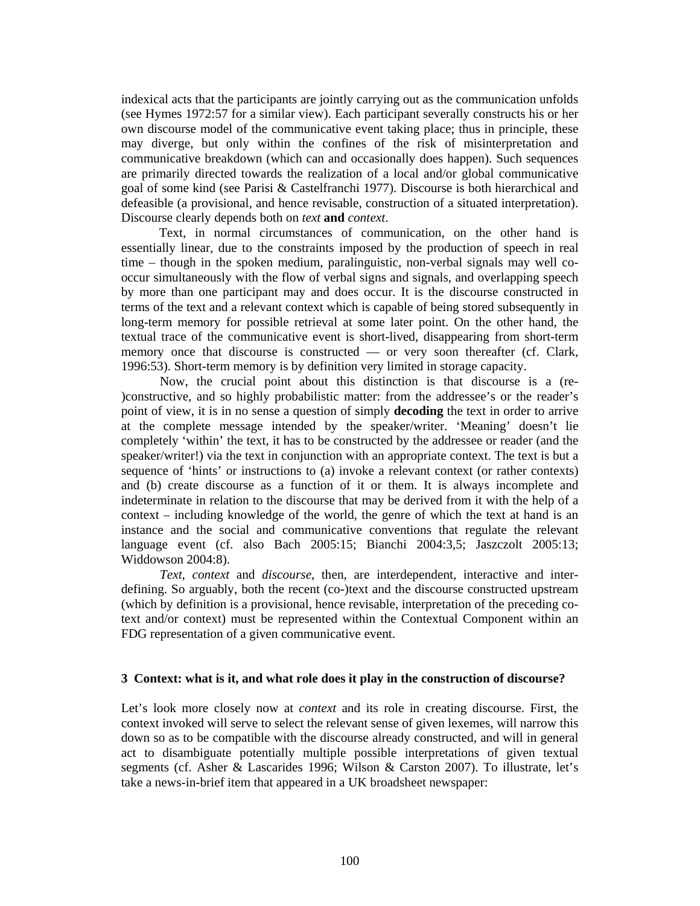indexical acts that the participants are jointly carrying out as the communication unfolds (see Hymes 1972:57 for a similar view). Each participant severally constructs his or her own discourse model of the communicative event taking place; thus in principle, these may diverge, but only within the confines of the risk of misinterpretation and communicative breakdown (which can and occasionally does happen). Such sequences are primarily directed towards the realization of a local and/or global communicative goal of some kind (see Parisi & Castelfranchi 1977). Discourse is both hierarchical and defeasible (a provisional, and hence revisable, construction of a situated interpretation). Discourse clearly depends both on *text* **and** *context*.

Text, in normal circumstances of communication, on the other hand is essentially linear, due to the constraints imposed by the production of speech in real time – though in the spoken medium, paralinguistic, non-verbal signals may well cooccur simultaneously with the flow of verbal signs and signals, and overlapping speech by more than one participant may and does occur. It is the discourse constructed in terms of the text and a relevant context which is capable of being stored subsequently in long-term memory for possible retrieval at some later point. On the other hand, the textual trace of the communicative event is short-lived, disappearing from short-term memory once that discourse is constructed — or very soon thereafter (cf. Clark, 1996:53). Short-term memory is by definition very limited in storage capacity.

 Now, the crucial point about this distinction is that discourse is a (re- )constructive, and so highly probabilistic matter: from the addressee's or the reader's point of view, it is in no sense a question of simply **decoding** the text in order to arrive at the complete message intended by the speaker/writer. 'Meaning' doesn't lie completely 'within' the text, it has to be constructed by the addressee or reader (and the speaker/writer!) via the text in conjunction with an appropriate context. The text is but a sequence of 'hints' or instructions to (a) invoke a relevant context (or rather contexts) and (b) create discourse as a function of it or them. It is always incomplete and indeterminate in relation to the discourse that may be derived from it with the help of a context – including knowledge of the world, the genre of which the text at hand is an instance and the social and communicative conventions that regulate the relevant language event (cf. also Bach 2005:15; Bianchi 2004:3,5; Jaszczolt 2005:13; Widdowson 2004:8).

*Text*, *context* and *discourse*, then, are interdependent, interactive and interdefining. So arguably, both the recent (co-)text and the discourse constructed upstream (which by definition is a provisional, hence revisable, interpretation of the preceding cotext and/or context) must be represented within the Contextual Component within an FDG representation of a given communicative event.

# **3 Context: what is it, and what role does it play in the construction of discourse?**

Let's look more closely now at *context* and its role in creating discourse. First, the context invoked will serve to select the relevant sense of given lexemes, will narrow this down so as to be compatible with the discourse already constructed, and will in general act to disambiguate potentially multiple possible interpretations of given textual segments (cf. Asher & Lascarides 1996; Wilson & Carston 2007). To illustrate, let's take a news-in-brief item that appeared in a UK broadsheet newspaper: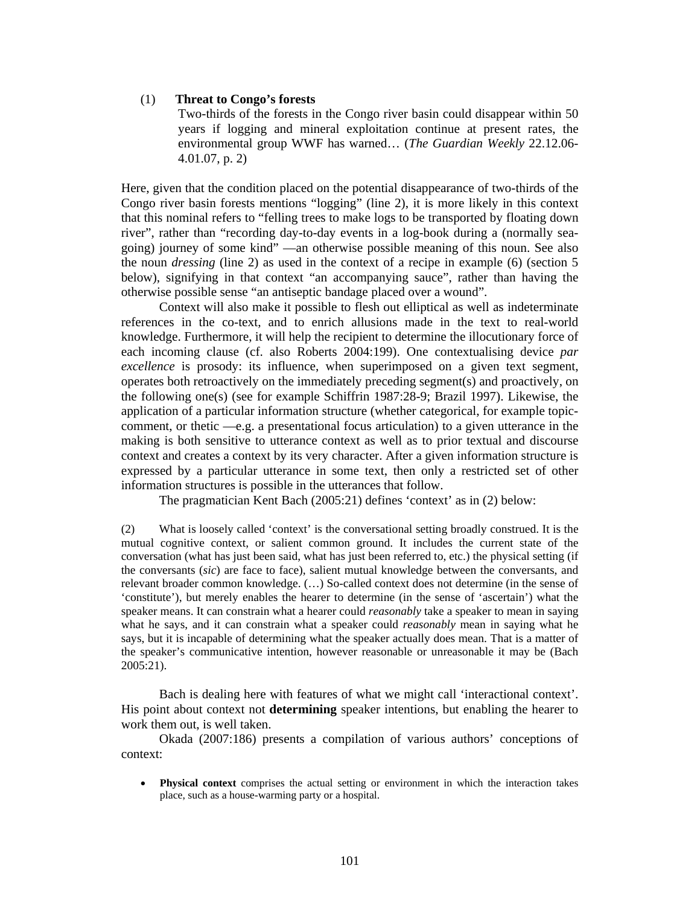#### (1) **Threat to Congo's forests**

Two-thirds of the forests in the Congo river basin could disappear within 50 years if logging and mineral exploitation continue at present rates, the environmental group WWF has warned… (*The Guardian Weekly* 22.12.06- 4.01.07, p. 2)

Here, given that the condition placed on the potential disappearance of two-thirds of the Congo river basin forests mentions "logging" (line 2), it is more likely in this context that this nominal refers to "felling trees to make logs to be transported by floating down river", rather than "recording day-to-day events in a log-book during a (normally seagoing) journey of some kind" —an otherwise possible meaning of this noun. See also the noun *dressing* (line 2) as used in the context of a recipe in example (6) (section 5 below), signifying in that context "an accompanying sauce", rather than having the otherwise possible sense "an antiseptic bandage placed over a wound".

Context will also make it possible to flesh out elliptical as well as indeterminate references in the co-text, and to enrich allusions made in the text to real-world knowledge. Furthermore, it will help the recipient to determine the illocutionary force of each incoming clause (cf. also Roberts 2004:199). One contextualising device *par excellence* is prosody: its influence, when superimposed on a given text segment, operates both retroactively on the immediately preceding segment(s) and proactively, on the following one(s) (see for example Schiffrin 1987:28-9; Brazil 1997). Likewise, the application of a particular information structure (whether categorical, for example topiccomment, or thetic —e.g. a presentational focus articulation) to a given utterance in the making is both sensitive to utterance context as well as to prior textual and discourse context and creates a context by its very character. After a given information structure is expressed by a particular utterance in some text, then only a restricted set of other information structures is possible in the utterances that follow.

The pragmatician Kent Bach (2005:21) defines 'context' as in (2) below:

(2) What is loosely called 'context' is the conversational setting broadly construed. It is the mutual cognitive context, or salient common ground. It includes the current state of the conversation (what has just been said, what has just been referred to, etc.) the physical setting (if the conversants (*sic*) are face to face), salient mutual knowledge between the conversants, and relevant broader common knowledge. (…) So-called context does not determine (in the sense of 'constitute'), but merely enables the hearer to determine (in the sense of 'ascertain') what the speaker means. It can constrain what a hearer could *reasonably* take a speaker to mean in saying what he says, and it can constrain what a speaker could *reasonably* mean in saying what he says, but it is incapable of determining what the speaker actually does mean. That is a matter of the speaker's communicative intention, however reasonable or unreasonable it may be (Bach 2005:21).

Bach is dealing here with features of what we might call 'interactional context'. His point about context not **determining** speaker intentions, but enabling the hearer to work them out, is well taken.

Okada (2007:186) presents a compilation of various authors' conceptions of context:

• **Physical context** comprises the actual setting or environment in which the interaction takes place, such as a house-warming party or a hospital.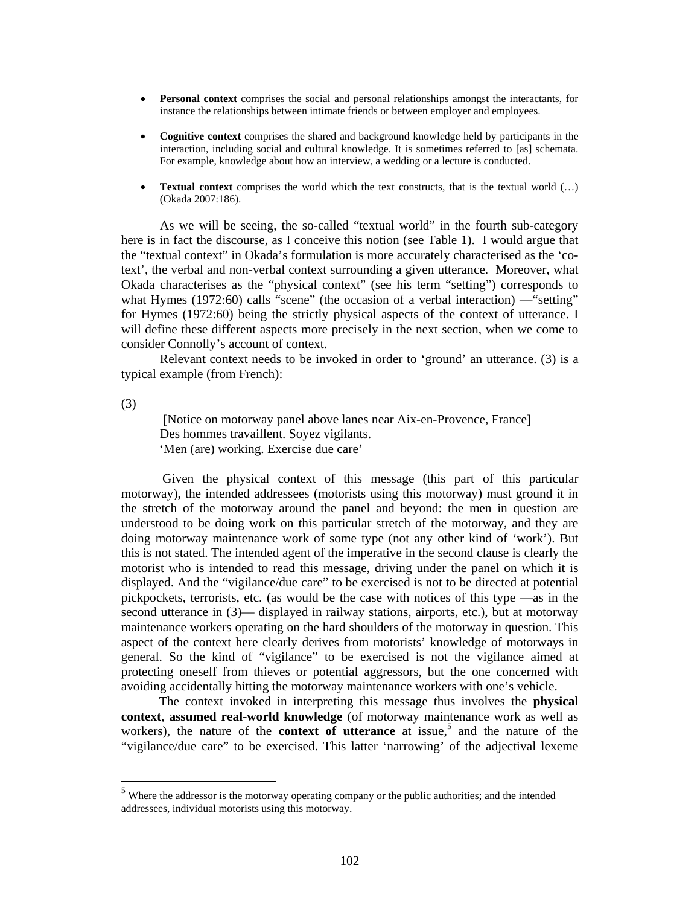- **Personal context** comprises the social and personal relationships amongst the interactants, for instance the relationships between intimate friends or between employer and employees.
- **Cognitive context** comprises the shared and background knowledge held by participants in the interaction, including social and cultural knowledge. It is sometimes referred to [as] schemata. For example, knowledge about how an interview, a wedding or a lecture is conducted.
- **Textual context** comprises the world which the text constructs, that is the textual world (...) (Okada 2007:186).

 As we will be seeing, the so-called "textual world" in the fourth sub-category here is in fact the discourse, as I conceive this notion (see Table 1). I would argue that the "textual context" in Okada's formulation is more accurately characterised as the 'cotext', the verbal and non-verbal context surrounding a given utterance. Moreover, what Okada characterises as the "physical context" (see his term "setting") corresponds to what Hymes (1972:60) calls "scene" (the occasion of a verbal interaction) — "setting" for Hymes (1972:60) being the strictly physical aspects of the context of utterance. I will define these different aspects more precisely in the next section, when we come to consider Connolly's account of context.

 Relevant context needs to be invoked in order to 'ground' an utterance. (3) is a typical example (from French):

(3)

 $\overline{a}$ 

 [Notice on motorway panel above lanes near Aix-en-Provence, France] Des hommes travaillent. Soyez vigilants. 'Men (are) working. Exercise due care'

 Given the physical context of this message (this part of this particular motorway), the intended addressees (motorists using this motorway) must ground it in the stretch of the motorway around the panel and beyond: the men in question are understood to be doing work on this particular stretch of the motorway, and they are doing motorway maintenance work of some type (not any other kind of 'work'). But this is not stated. The intended agent of the imperative in the second clause is clearly the motorist who is intended to read this message, driving under the panel on which it is displayed. And the "vigilance/due care" to be exercised is not to be directed at potential pickpockets, terrorists, etc. (as would be the case with notices of this type —as in the second utterance in (3)— displayed in railway stations, airports, etc.), but at motorway maintenance workers operating on the hard shoulders of the motorway in question. This aspect of the context here clearly derives from motorists' knowledge of motorways in general. So the kind of "vigilance" to be exercised is not the vigilance aimed at protecting oneself from thieves or potential aggressors, but the one concerned with avoiding accidentally hitting the motorway maintenance workers with one's vehicle.

The context invoked in interpreting this message thus involves the **physical context**, **assumed real-world knowledge** (of motorway maintenance work as well as workers), the nature of the **context of utterance** at issue,<sup>5</sup> and the nature of the "vigilance/due care" to be exercised. This latter 'narrowing' of the adjectival lexeme

 $<sup>5</sup>$  Where the addressor is the motorway operating company or the public authorities; and the intended</sup> addressees, individual motorists using this motorway.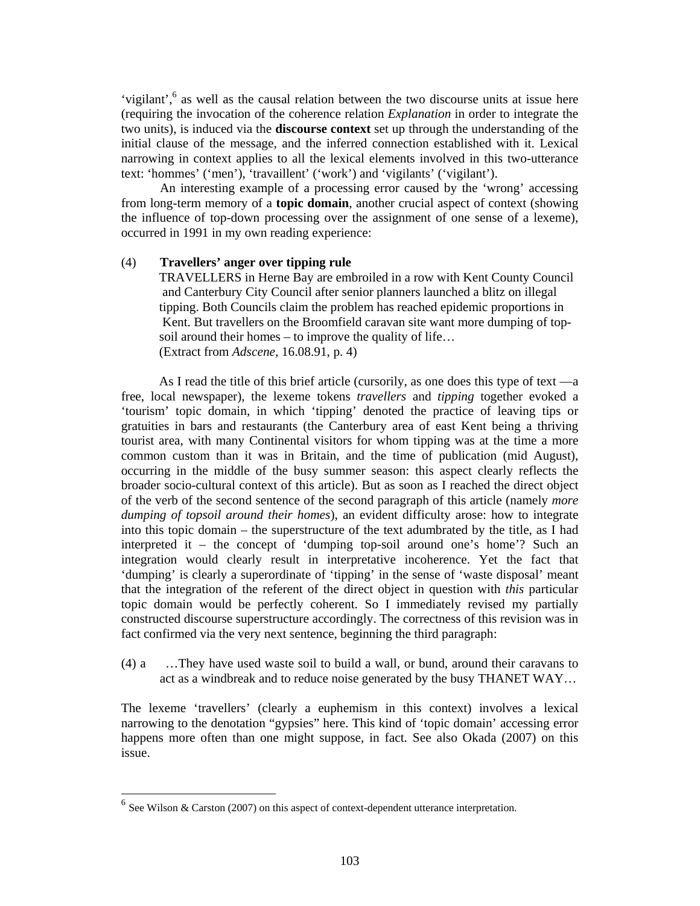'vigilant',<sup>6</sup> as well as the causal relation between the two discourse units at issue here (requiring the invocation of the coherence relation *Explanation* in order to integrate the two units), is induced via the **discourse context** set up through the understanding of the initial clause of the message, and the inferred connection established with it. Lexical narrowing in context applies to all the lexical elements involved in this two-utterance text: 'hommes' ('men'), 'travaillent' ('work') and 'vigilants' ('vigilant').

 An interesting example of a processing error caused by the 'wrong' accessing from long-term memory of a **topic domain**, another crucial aspect of context (showing the influence of top-down processing over the assignment of one sense of a lexeme), occurred in 1991 in my own reading experience:

### (4) **Travellers' anger over tipping rule**

TRAVELLERS in Herne Bay are embroiled in a row with Kent County Council and Canterbury City Council after senior planners launched a blitz on illegal tipping. Both Councils claim the problem has reached epidemic proportions in Kent. But travellers on the Broomfield caravan site want more dumping of topsoil around their homes – to improve the quality of life… (Extract from *Adscene*, 16.08.91, p. 4)

As I read the title of this brief article (cursorily, as one does this type of text —a free, local newspaper), the lexeme tokens *travellers* and *tipping* together evoked a 'tourism' topic domain, in which 'tipping' denoted the practice of leaving tips or gratuities in bars and restaurants (the Canterbury area of east Kent being a thriving tourist area, with many Continental visitors for whom tipping was at the time a more common custom than it was in Britain, and the time of publication (mid August), occurring in the middle of the busy summer season: this aspect clearly reflects the broader socio-cultural context of this article). But as soon as I reached the direct object of the verb of the second sentence of the second paragraph of this article (namely *more dumping of topsoil around their homes*), an evident difficulty arose: how to integrate into this topic domain – the superstructure of the text adumbrated by the title, as I had interpreted it – the concept of 'dumping top-soil around one's home'? Such an integration would clearly result in interpretative incoherence. Yet the fact that 'dumping' is clearly a superordinate of 'tipping' in the sense of 'waste disposal' meant that the integration of the referent of the direct object in question with *this* particular topic domain would be perfectly coherent. So I immediately revised my partially constructed discourse superstructure accordingly. The correctness of this revision was in fact confirmed via the very next sentence, beginning the third paragraph:

(4) a …They have used waste soil to build a wall, or bund, around their caravans to act as a windbreak and to reduce noise generated by the busy THANET WAY…

The lexeme 'travellers' (clearly a euphemism in this context) involves a lexical narrowing to the denotation "gypsies" here. This kind of 'topic domain' accessing error happens more often than one might suppose, in fact. See also Okada (2007) on this issue.

 $<sup>6</sup>$  See Wilson & Carston (2007) on this aspect of context-dependent utterance interpretation.</sup>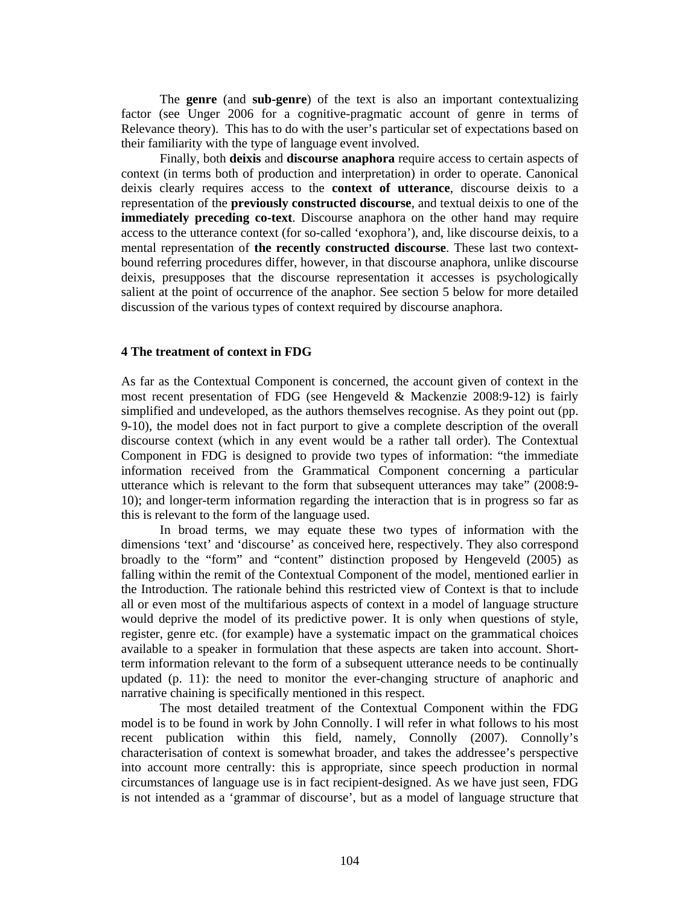The **genre** (and **sub-genre**) of the text is also an important contextualizing factor (see Unger 2006 for a cognitive-pragmatic account of genre in terms of Relevance theory). This has to do with the user's particular set of expectations based on their familiarity with the type of language event involved.

 Finally, both **deixis** and **discourse anaphora** require access to certain aspects of context (in terms both of production and interpretation) in order to operate. Canonical deixis clearly requires access to the **context of utterance**, discourse deixis to a representation of the **previously constructed discourse**, and textual deixis to one of the **immediately preceding co-text**. Discourse anaphora on the other hand may require access to the utterance context (for so-called 'exophora'), and, like discourse deixis, to a mental representation of **the recently constructed discourse**. These last two contextbound referring procedures differ, however, in that discourse anaphora, unlike discourse deixis, presupposes that the discourse representation it accesses is psychologically salient at the point of occurrence of the anaphor. See section 5 below for more detailed discussion of the various types of context required by discourse anaphora.

# **4 The treatment of context in FDG**

As far as the Contextual Component is concerned, the account given of context in the most recent presentation of FDG (see Hengeveld & Mackenzie 2008:9-12) is fairly simplified and undeveloped, as the authors themselves recognise. As they point out (pp. 9-10), the model does not in fact purport to give a complete description of the overall discourse context (which in any event would be a rather tall order). The Contextual Component in FDG is designed to provide two types of information: "the immediate information received from the Grammatical Component concerning a particular utterance which is relevant to the form that subsequent utterances may take" (2008:9- 10); and longer-term information regarding the interaction that is in progress so far as this is relevant to the form of the language used.

 In broad terms, we may equate these two types of information with the dimensions 'text' and 'discourse' as conceived here, respectively. They also correspond broadly to the "form" and "content" distinction proposed by Hengeveld (2005) as falling within the remit of the Contextual Component of the model, mentioned earlier in the Introduction. The rationale behind this restricted view of Context is that to include all or even most of the multifarious aspects of context in a model of language structure would deprive the model of its predictive power. It is only when questions of style, register, genre etc. (for example) have a systematic impact on the grammatical choices available to a speaker in formulation that these aspects are taken into account. Shortterm information relevant to the form of a subsequent utterance needs to be continually updated (p. 11): the need to monitor the ever-changing structure of anaphoric and narrative chaining is specifically mentioned in this respect.

 The most detailed treatment of the Contextual Component within the FDG model is to be found in work by John Connolly. I will refer in what follows to his most recent publication within this field, namely, Connolly (2007). Connolly's characterisation of context is somewhat broader, and takes the addressee's perspective into account more centrally: this is appropriate, since speech production in normal circumstances of language use is in fact recipient-designed. As we have just seen, FDG is not intended as a 'grammar of discourse', but as a model of language structure that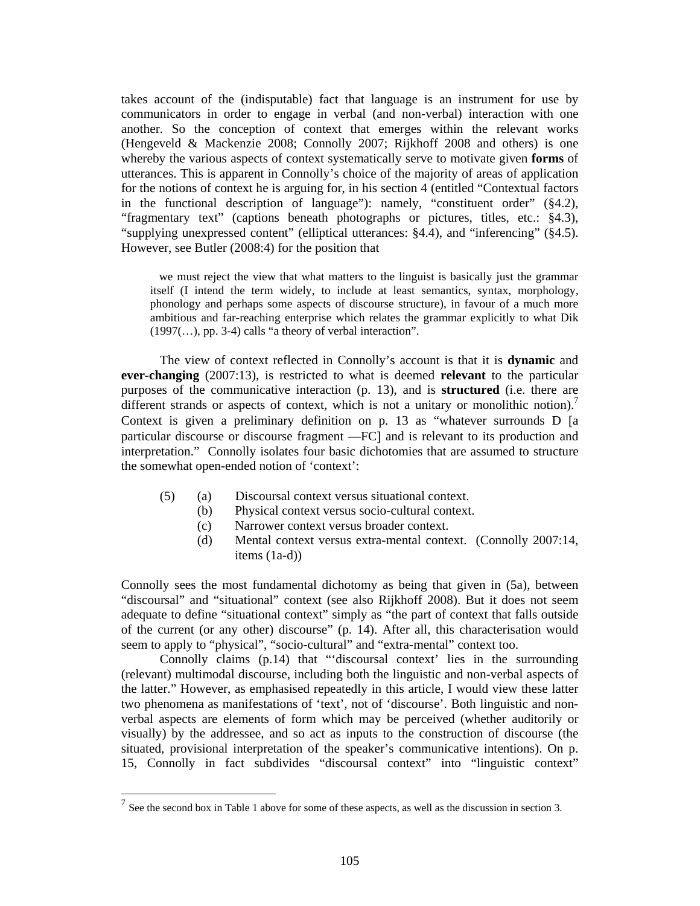takes account of the (indisputable) fact that language is an instrument for use by communicators in order to engage in verbal (and non-verbal) interaction with one another. So the conception of context that emerges within the relevant works (Hengeveld & Mackenzie 2008; Connolly 2007; Rijkhoff 2008 and others) is one whereby the various aspects of context systematically serve to motivate given **forms** of utterances. This is apparent in Connolly's choice of the majority of areas of application for the notions of context he is arguing for, in his section 4 (entitled "Contextual factors in the functional description of language"): namely, "constituent order" (§4.2), "fragmentary text" (captions beneath photographs or pictures, titles, etc.: §4.3), "supplying unexpressed content" (elliptical utterances: §4.4), and "inferencing" (§4.5). However, see Butler (2008:4) for the position that

 we must reject the view that what matters to the linguist is basically just the grammar itself (I intend the term widely, to include at least semantics, syntax, morphology, phonology and perhaps some aspects of discourse structure), in favour of a much more ambitious and far-reaching enterprise which relates the grammar explicitly to what Dik  $(1997(\ldots), pp. 3-4)$  calls "a theory of verbal interaction".

 The view of context reflected in Connolly's account is that it is **dynamic** and **ever-changing** (2007:13), is restricted to what is deemed **relevant** to the particular purposes of the communicative interaction (p. 13), and is **structured** (i.e. there are different strands or aspects of context, which is not a unitary or monolithic notion).<sup>7</sup> Context is given a preliminary definition on p. 13 as "whatever surrounds D [a particular discourse or discourse fragment —FC] and is relevant to its production and interpretation." Connolly isolates four basic dichotomies that are assumed to structure the somewhat open-ended notion of 'context':

- (5) (a) Discoursal context versus situational context.
	- (b) Physical context versus socio-cultural context.
	- (c) Narrower context versus broader context.
	- (d) Mental context versus extra-mental context. (Connolly 2007:14, items (1a-d))

Connolly sees the most fundamental dichotomy as being that given in (5a), between "discoursal" and "situational" context (see also Rijkhoff 2008). But it does not seem adequate to define "situational context" simply as "the part of context that falls outside of the current (or any other) discourse" (p. 14). After all, this characterisation would seem to apply to "physical", "socio-cultural" and "extra-mental" context too.

 Connolly claims (p.14) that "'discoursal context' lies in the surrounding (relevant) multimodal discourse, including both the linguistic and non-verbal aspects of the latter." However, as emphasised repeatedly in this article, I would view these latter two phenomena as manifestations of 'text', not of 'discourse'. Both linguistic and nonverbal aspects are elements of form which may be perceived (whether auditorily or visually) by the addressee, and so act as inputs to the construction of discourse (the situated, provisional interpretation of the speaker's communicative intentions). On p. 15, Connolly in fact subdivides "discoursal context" into "linguistic context"

 $<sup>7</sup>$  See the second box in Table 1 above for some of these aspects, as well as the discussion in section 3.</sup>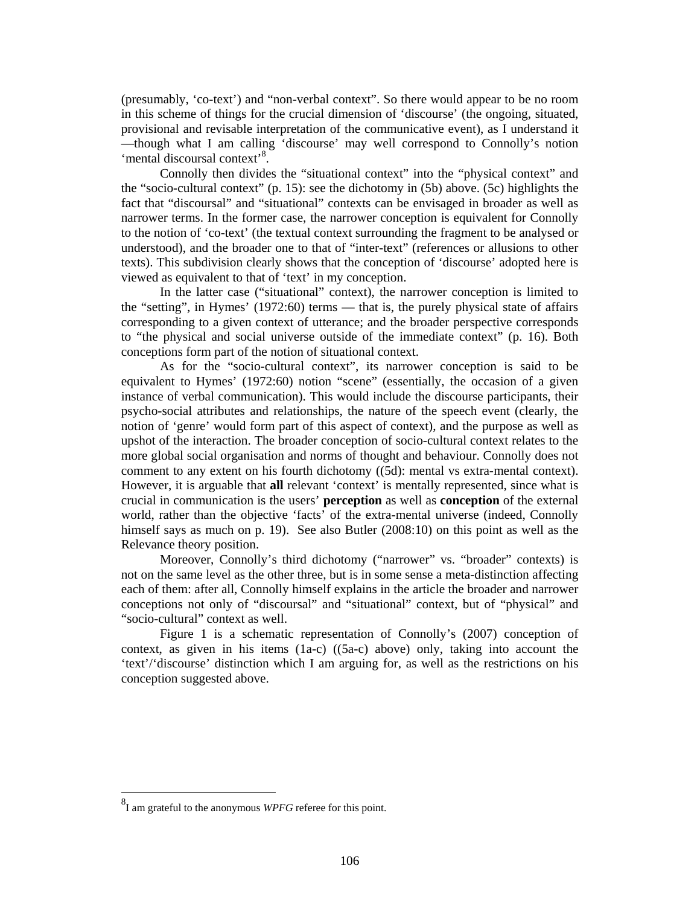(presumably, 'co-text') and "non-verbal context". So there would appear to be no room in this scheme of things for the crucial dimension of 'discourse' (the ongoing, situated, provisional and revisable interpretation of the communicative event), as I understand it —though what I am calling 'discourse' may well correspond to Connolly's notion 'mental discoursal context'<sup>8</sup>.

 Connolly then divides the "situational context" into the "physical context" and the "socio-cultural context" (p. 15): see the dichotomy in (5b) above. (5c) highlights the fact that "discoursal" and "situational" contexts can be envisaged in broader as well as narrower terms. In the former case, the narrower conception is equivalent for Connolly to the notion of 'co-text' (the textual context surrounding the fragment to be analysed or understood), and the broader one to that of "inter-text" (references or allusions to other texts). This subdivision clearly shows that the conception of 'discourse' adopted here is viewed as equivalent to that of 'text' in my conception.

 In the latter case ("situational" context), the narrower conception is limited to the "setting", in Hymes' (1972:60) terms — that is, the purely physical state of affairs corresponding to a given context of utterance; and the broader perspective corresponds to "the physical and social universe outside of the immediate context" (p. 16). Both conceptions form part of the notion of situational context.

 As for the "socio-cultural context", its narrower conception is said to be equivalent to Hymes' (1972:60) notion "scene" (essentially, the occasion of a given instance of verbal communication). This would include the discourse participants, their psycho-social attributes and relationships, the nature of the speech event (clearly, the notion of 'genre' would form part of this aspect of context), and the purpose as well as upshot of the interaction. The broader conception of socio-cultural context relates to the more global social organisation and norms of thought and behaviour. Connolly does not comment to any extent on his fourth dichotomy ((5d): mental vs extra-mental context). However, it is arguable that **all** relevant 'context' is mentally represented, since what is crucial in communication is the users' **perception** as well as **conception** of the external world, rather than the objective 'facts' of the extra-mental universe (indeed, Connolly himself says as much on p. 19). See also Butler (2008:10) on this point as well as the Relevance theory position.

 Moreover, Connolly's third dichotomy ("narrower" vs. "broader" contexts) is not on the same level as the other three, but is in some sense a meta-distinction affecting each of them: after all, Connolly himself explains in the article the broader and narrower conceptions not only of "discoursal" and "situational" context, but of "physical" and "socio-cultural" context as well.

 Figure 1 is a schematic representation of Connolly's (2007) conception of context, as given in his items  $(1a-c)$   $((5a-c)$  above) only, taking into account the 'text'/'discourse' distinction which I am arguing for, as well as the restrictions on his conception suggested above.

<sup>8</sup> I am grateful to the anonymous *WPFG* referee for this point.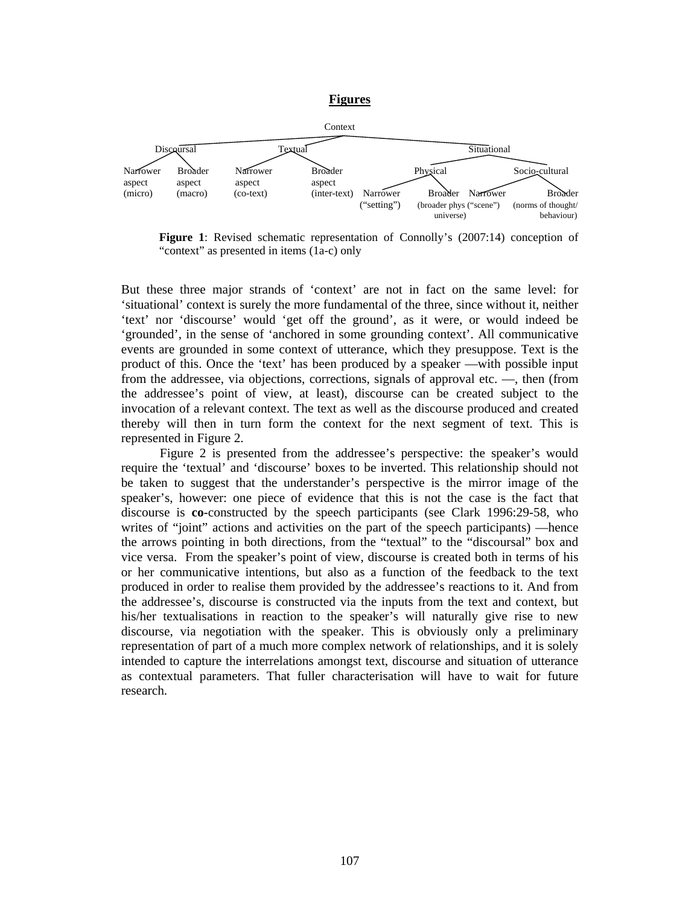

**Figure 1**: Revised schematic representation of Connolly's (2007:14) conception of "context" as presented in items (1a-c) only

But these three major strands of 'context' are not in fact on the same level: for 'situational' context is surely the more fundamental of the three, since without it, neither 'text' nor 'discourse' would 'get off the ground', as it were, or would indeed be 'grounded', in the sense of 'anchored in some grounding context'. All communicative events are grounded in some context of utterance, which they presuppose. Text is the product of this. Once the 'text' has been produced by a speaker —with possible input from the addressee, via objections, corrections, signals of approval etc. —, then (from the addressee's point of view, at least), discourse can be created subject to the invocation of a relevant context. The text as well as the discourse produced and created thereby will then in turn form the context for the next segment of text. This is represented in Figure 2.

 Figure 2 is presented from the addressee's perspective: the speaker's would require the 'textual' and 'discourse' boxes to be inverted. This relationship should not be taken to suggest that the understander's perspective is the mirror image of the speaker's, however: one piece of evidence that this is not the case is the fact that discourse is **co**-constructed by the speech participants (see Clark 1996:29-58, who writes of "joint" actions and activities on the part of the speech participants) —hence the arrows pointing in both directions, from the "textual" to the "discoursal" box and vice versa. From the speaker's point of view, discourse is created both in terms of his or her communicative intentions, but also as a function of the feedback to the text produced in order to realise them provided by the addressee's reactions to it. And from the addressee's, discourse is constructed via the inputs from the text and context, but his/her textualisations in reaction to the speaker's will naturally give rise to new discourse, via negotiation with the speaker. This is obviously only a preliminary representation of part of a much more complex network of relationships, and it is solely intended to capture the interrelations amongst text, discourse and situation of utterance as contextual parameters. That fuller characterisation will have to wait for future research.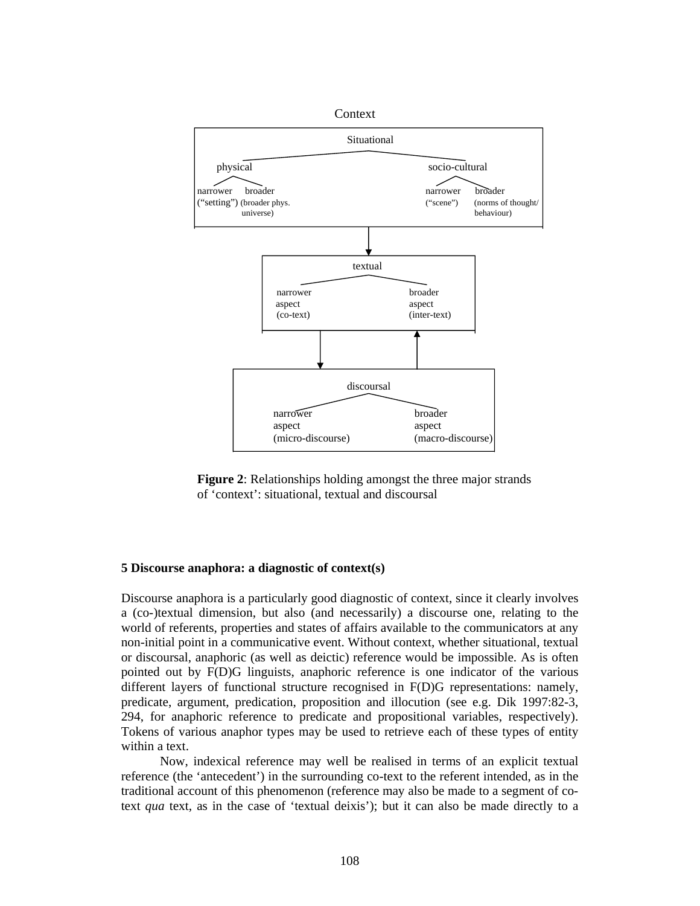



#### **5 Discourse anaphora: a diagnostic of context(s)**

Discourse anaphora is a particularly good diagnostic of context, since it clearly involves a (co-)textual dimension, but also (and necessarily) a discourse one, relating to the world of referents, properties and states of affairs available to the communicators at any non-initial point in a communicative event. Without context, whether situational, textual or discoursal, anaphoric (as well as deictic) reference would be impossible. As is often pointed out by F(D)G linguists, anaphoric reference is one indicator of the various different layers of functional structure recognised in F(D)G representations: namely, predicate, argument, predication, proposition and illocution (see e.g. Dik 1997:82-3, 294, for anaphoric reference to predicate and propositional variables, respectively). Tokens of various anaphor types may be used to retrieve each of these types of entity within a text.

 Now, indexical reference may well be realised in terms of an explicit textual reference (the 'antecedent') in the surrounding co-text to the referent intended, as in the traditional account of this phenomenon (reference may also be made to a segment of cotext *qua* text, as in the case of 'textual deixis'); but it can also be made directly to a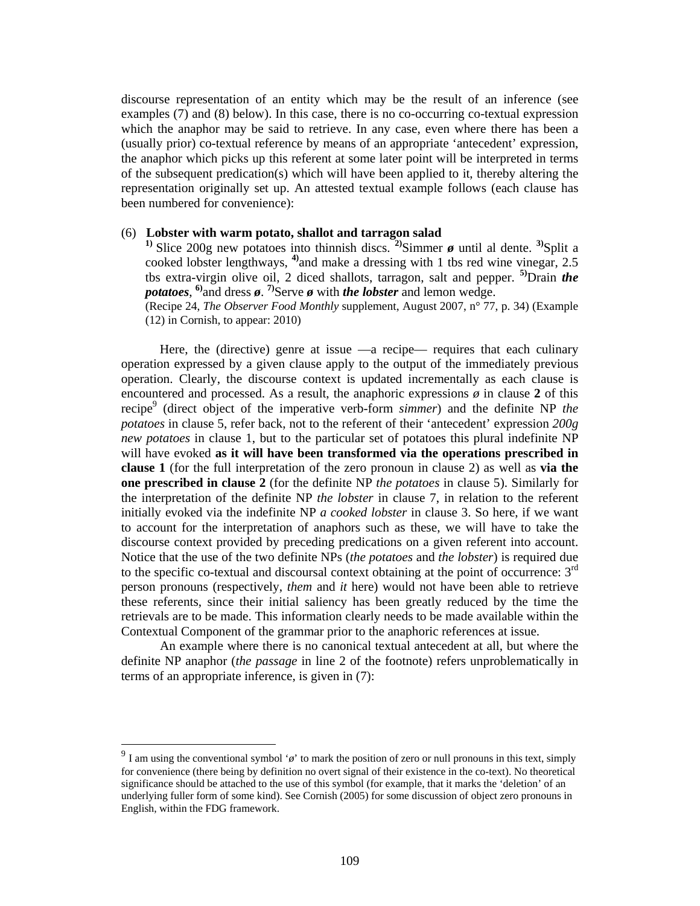discourse representation of an entity which may be the result of an inference (see examples (7) and (8) below). In this case, there is no co-occurring co-textual expression which the anaphor may be said to retrieve. In any case, even where there has been a (usually prior) co-textual reference by means of an appropriate 'antecedent' expression, the anaphor which picks up this referent at some later point will be interpreted in terms of the subsequent predication(s) which will have been applied to it, thereby altering the representation originally set up. An attested textual example follows (each clause has been numbered for convenience):

### (6) **Lobster with warm potato, shallot and tarragon salad**

<sup>1)</sup> Slice 200g new potatoes into thinnish discs. <sup>2</sup><sup>2</sup>Simmer  $\phi$  until al dente. <sup>3</sup><sup>3</sup>Split a cooked lobster lengthways, **4)**and make a dressing with 1 tbs red wine vinegar, 2.5 tbs extra-virgin olive oil, 2 diced shallots, tarragon, salt and pepper. **5)**Drain *the potatoes*,  $\mathbf{^0}$ and dress  $\boldsymbol{\phi}$ . <sup>7</sup>Serve  $\boldsymbol{\phi}$  with *the lobster* and lemon wedge.

(Recipe 24, *The Observer Food Monthly* supplement, August 2007, n° 77, p. 34) (Example (12) in Cornish, to appear: 2010)

 Here, the (directive) genre at issue —a recipe— requires that each culinary operation expressed by a given clause apply to the output of the immediately previous operation. Clearly, the discourse context is updated incrementally as each clause is encountered and processed. As a result, the anaphoric expressions  $\phi$  in clause 2 of this recipe<sup>9</sup> (direct object of the imperative verb-form *simmer*) and the definite NP *the potatoes* in clause 5, refer back, not to the referent of their 'antecedent' expression *200g new potatoes* in clause 1, but to the particular set of potatoes this plural indefinite NP will have evoked **as it will have been transformed via the operations prescribed in clause 1** (for the full interpretation of the zero pronoun in clause 2) as well as **via the one prescribed in clause 2** (for the definite NP *the potatoes* in clause 5). Similarly for the interpretation of the definite NP *the lobster* in clause 7, in relation to the referent initially evoked via the indefinite NP *a cooked lobster* in clause 3. So here, if we want to account for the interpretation of anaphors such as these, we will have to take the discourse context provided by preceding predications on a given referent into account. Notice that the use of the two definite NPs (*the potatoes* and *the lobster*) is required due to the specific co-textual and discoursal context obtaining at the point of occurrence:  $3<sup>rd</sup>$ person pronouns (respectively, *them* and *it* here) would not have been able to retrieve these referents, since their initial saliency has been greatly reduced by the time the retrievals are to be made. This information clearly needs to be made available within the Contextual Component of the grammar prior to the anaphoric references at issue.

 An example where there is no canonical textual antecedent at all, but where the definite NP anaphor (*the passage* in line 2 of the footnote) refers unproblematically in terms of an appropriate inference, is given in (7):

 $9<sup>9</sup>$  I am using the conventional symbol ' $\phi$ ' to mark the position of zero or null pronouns in this text, simply for convenience (there being by definition no overt signal of their existence in the co-text). No theoretical significance should be attached to the use of this symbol (for example, that it marks the 'deletion' of an underlying fuller form of some kind). See Cornish (2005) for some discussion of object zero pronouns in English, within the FDG framework.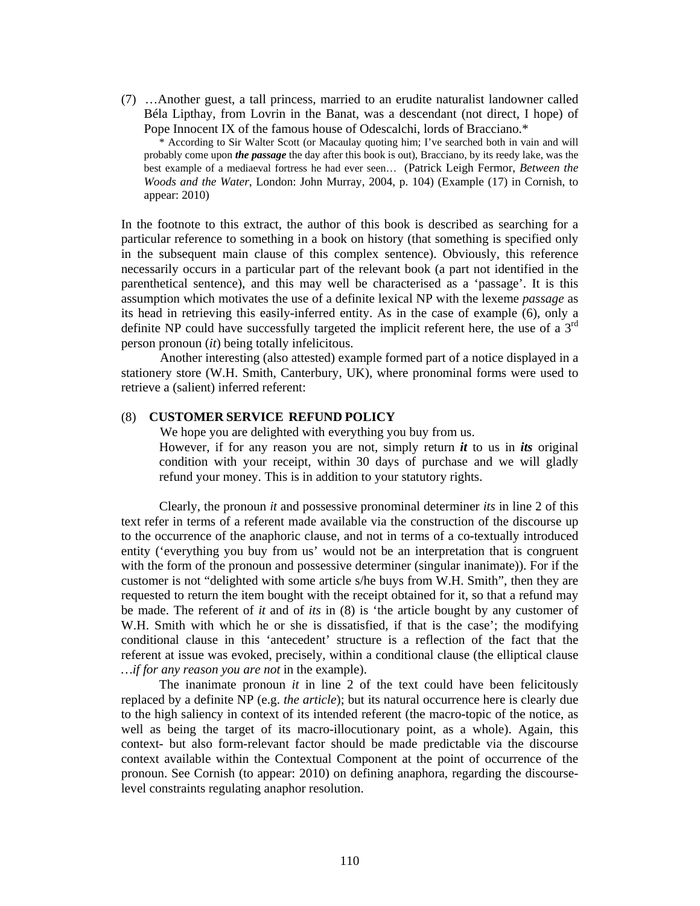(7) …Another guest, a tall princess, married to an erudite naturalist landowner called Béla Lipthay, from Lovrin in the Banat, was a descendant (not direct, I hope) of Pope Innocent IX of the famous house of Odescalchi, lords of Bracciano.\*

\* According to Sir Walter Scott (or Macaulay quoting him; I've searched both in vain and will probably come upon *the passage* the day after this book is out), Bracciano, by its reedy lake, was the best example of a mediaeval fortress he had ever seen… (Patrick Leigh Fermor, *Between the Woods and the Water*, London: John Murray, 2004, p. 104) (Example (17) in Cornish, to appear: 2010)

In the footnote to this extract, the author of this book is described as searching for a particular reference to something in a book on history (that something is specified only in the subsequent main clause of this complex sentence). Obviously, this reference necessarily occurs in a particular part of the relevant book (a part not identified in the parenthetical sentence), and this may well be characterised as a 'passage'. It is this assumption which motivates the use of a definite lexical NP with the lexeme *passage* as its head in retrieving this easily-inferred entity. As in the case of example (6), only a definite NP could have successfully targeted the implicit referent here, the use of a  $3<sup>rd</sup>$ person pronoun (*it*) being totally infelicitous.

 Another interesting (also attested) example formed part of a notice displayed in a stationery store (W.H. Smith, Canterbury, UK), where pronominal forms were used to retrieve a (salient) inferred referent:

# (8) **CUSTOMER SERVICE REFUND POLICY**

We hope you are delighted with everything you buy from us.

However, if for any reason you are not, simply return *it* to us in *its* original condition with your receipt, within 30 days of purchase and we will gladly refund your money. This is in addition to your statutory rights.

Clearly, the pronoun *it* and possessive pronominal determiner *its* in line 2 of this text refer in terms of a referent made available via the construction of the discourse up to the occurrence of the anaphoric clause, and not in terms of a co-textually introduced entity ('everything you buy from us' would not be an interpretation that is congruent with the form of the pronoun and possessive determiner (singular inanimate)). For if the customer is not "delighted with some article s/he buys from W.H. Smith", then they are requested to return the item bought with the receipt obtained for it, so that a refund may be made. The referent of *it* and of *its* in (8) is 'the article bought by any customer of W.H. Smith with which he or she is dissatisfied, if that is the case'; the modifying conditional clause in this 'antecedent' structure is a reflection of the fact that the referent at issue was evoked, precisely, within a conditional clause (the elliptical clause *…if for any reason you are not* in the example).

The inanimate pronoun *it* in line 2 of the text could have been felicitously replaced by a definite NP (e.g. *the article*); but its natural occurrence here is clearly due to the high saliency in context of its intended referent (the macro-topic of the notice, as well as being the target of its macro-illocutionary point, as a whole). Again, this context- but also form-relevant factor should be made predictable via the discourse context available within the Contextual Component at the point of occurrence of the pronoun. See Cornish (to appear: 2010) on defining anaphora, regarding the discourselevel constraints regulating anaphor resolution.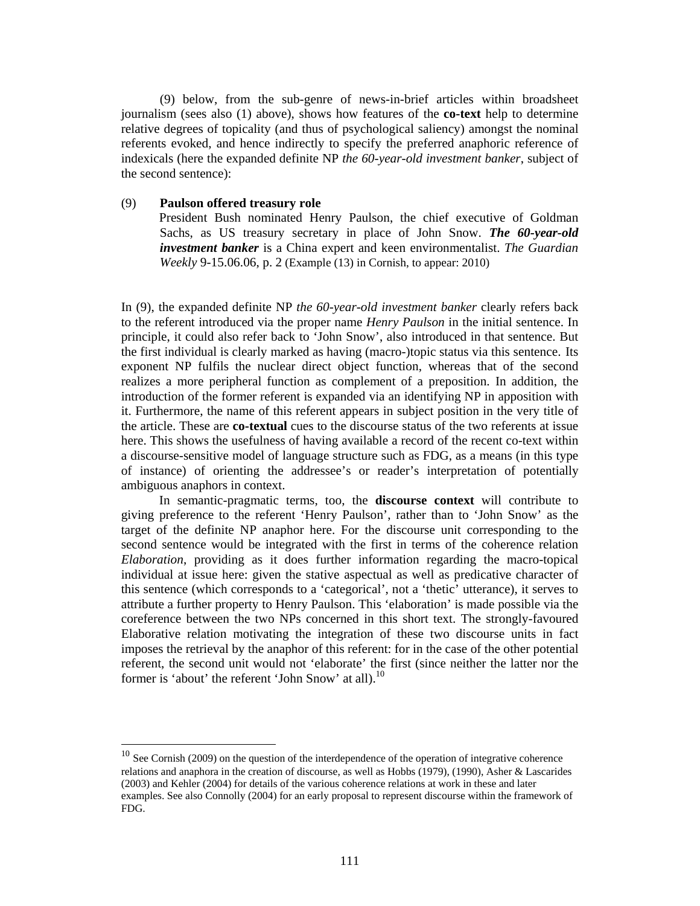(9) below, from the sub-genre of news-in-brief articles within broadsheet journalism (sees also (1) above), shows how features of the **co-text** help to determine relative degrees of topicality (and thus of psychological saliency) amongst the nominal referents evoked, and hence indirectly to specify the preferred anaphoric reference of indexicals (here the expanded definite NP *the 60-year-old investment banker*, subject of the second sentence):

#### (9) **Paulson offered treasury role**

 $\overline{a}$ 

President Bush nominated Henry Paulson, the chief executive of Goldman Sachs, as US treasury secretary in place of John Snow. *The 60-year-old investment banker* is a China expert and keen environmentalist. *The Guardian Weekly* 9-15.06.06, p. 2 (Example (13) in Cornish, to appear: 2010)

In (9), the expanded definite NP *the 60-year-old investment banker* clearly refers back to the referent introduced via the proper name *Henry Paulson* in the initial sentence. In principle, it could also refer back to 'John Snow', also introduced in that sentence. But the first individual is clearly marked as having (macro-)topic status via this sentence. Its exponent NP fulfils the nuclear direct object function, whereas that of the second realizes a more peripheral function as complement of a preposition. In addition, the introduction of the former referent is expanded via an identifying NP in apposition with it. Furthermore, the name of this referent appears in subject position in the very title of the article. These are **co-textual** cues to the discourse status of the two referents at issue here. This shows the usefulness of having available a record of the recent co-text within a discourse-sensitive model of language structure such as FDG, as a means (in this type of instance) of orienting the addressee's or reader's interpretation of potentially ambiguous anaphors in context.

 In semantic-pragmatic terms, too, the **discourse context** will contribute to giving preference to the referent 'Henry Paulson', rather than to 'John Snow' as the target of the definite NP anaphor here. For the discourse unit corresponding to the second sentence would be integrated with the first in terms of the coherence relation *Elaboration*, providing as it does further information regarding the macro-topical individual at issue here: given the stative aspectual as well as predicative character of this sentence (which corresponds to a 'categorical', not a 'thetic' utterance), it serves to attribute a further property to Henry Paulson. This 'elaboration' is made possible via the coreference between the two NPs concerned in this short text. The strongly-favoured Elaborative relation motivating the integration of these two discourse units in fact imposes the retrieval by the anaphor of this referent: for in the case of the other potential referent, the second unit would not 'elaborate' the first (since neither the latter nor the former is 'about' the referent 'John Snow' at all).<sup>10</sup>

 $10$  See Cornish (2009) on the question of the interdependence of the operation of integrative coherence relations and anaphora in the creation of discourse, as well as Hobbs (1979), (1990), Asher & Lascarides (2003) and Kehler (2004) for details of the various coherence relations at work in these and later examples. See also Connolly (2004) for an early proposal to represent discourse within the framework of FDG.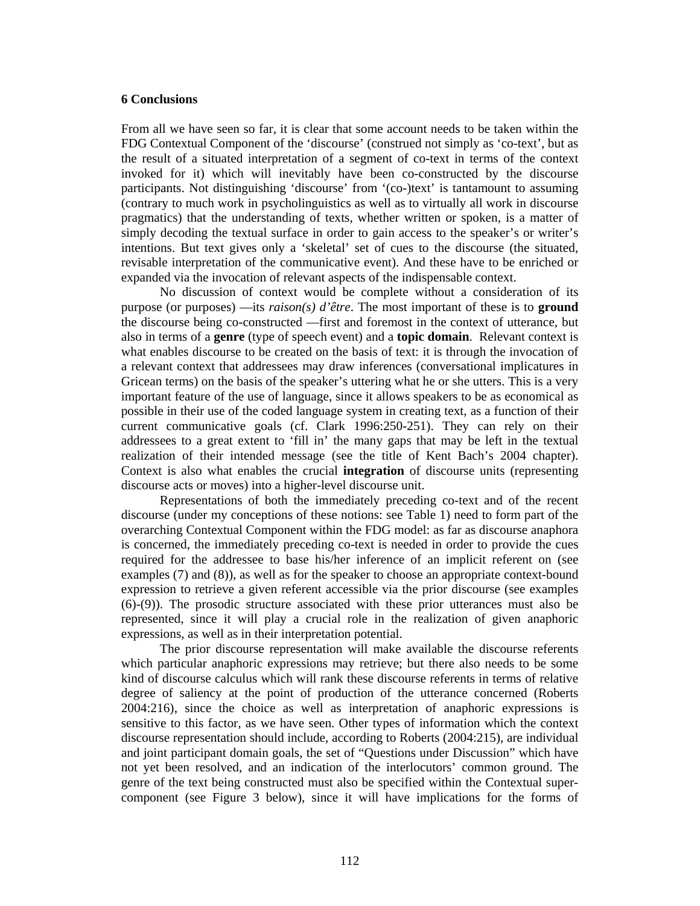#### **6 Conclusions**

From all we have seen so far, it is clear that some account needs to be taken within the FDG Contextual Component of the 'discourse' (construed not simply as 'co-text', but as the result of a situated interpretation of a segment of co-text in terms of the context invoked for it) which will inevitably have been co-constructed by the discourse participants. Not distinguishing 'discourse' from '(co-)text' is tantamount to assuming (contrary to much work in psycholinguistics as well as to virtually all work in discourse pragmatics) that the understanding of texts, whether written or spoken, is a matter of simply decoding the textual surface in order to gain access to the speaker's or writer's intentions. But text gives only a 'skeletal' set of cues to the discourse (the situated, revisable interpretation of the communicative event). And these have to be enriched or expanded via the invocation of relevant aspects of the indispensable context.

 No discussion of context would be complete without a consideration of its purpose (or purposes) —its *raison(s) d'être*. The most important of these is to **ground** the discourse being co-constructed —first and foremost in the context of utterance, but also in terms of a **genre** (type of speech event) and a **topic domain**. Relevant context is what enables discourse to be created on the basis of text: it is through the invocation of a relevant context that addressees may draw inferences (conversational implicatures in Gricean terms) on the basis of the speaker's uttering what he or she utters. This is a very important feature of the use of language, since it allows speakers to be as economical as possible in their use of the coded language system in creating text, as a function of their current communicative goals (cf. Clark 1996:250-251). They can rely on their addressees to a great extent to 'fill in' the many gaps that may be left in the textual realization of their intended message (see the title of Kent Bach's 2004 chapter). Context is also what enables the crucial **integration** of discourse units (representing discourse acts or moves) into a higher-level discourse unit.

 Representations of both the immediately preceding co-text and of the recent discourse (under my conceptions of these notions: see Table 1) need to form part of the overarching Contextual Component within the FDG model: as far as discourse anaphora is concerned, the immediately preceding co-text is needed in order to provide the cues required for the addressee to base his/her inference of an implicit referent on (see examples (7) and (8)), as well as for the speaker to choose an appropriate context-bound expression to retrieve a given referent accessible via the prior discourse (see examples (6)-(9)). The prosodic structure associated with these prior utterances must also be represented, since it will play a crucial role in the realization of given anaphoric expressions, as well as in their interpretation potential.

 The prior discourse representation will make available the discourse referents which particular anaphoric expressions may retrieve; but there also needs to be some kind of discourse calculus which will rank these discourse referents in terms of relative degree of saliency at the point of production of the utterance concerned (Roberts 2004:216), since the choice as well as interpretation of anaphoric expressions is sensitive to this factor, as we have seen. Other types of information which the context discourse representation should include, according to Roberts (2004:215), are individual and joint participant domain goals, the set of "Questions under Discussion" which have not yet been resolved, and an indication of the interlocutors' common ground. The genre of the text being constructed must also be specified within the Contextual supercomponent (see Figure 3 below), since it will have implications for the forms of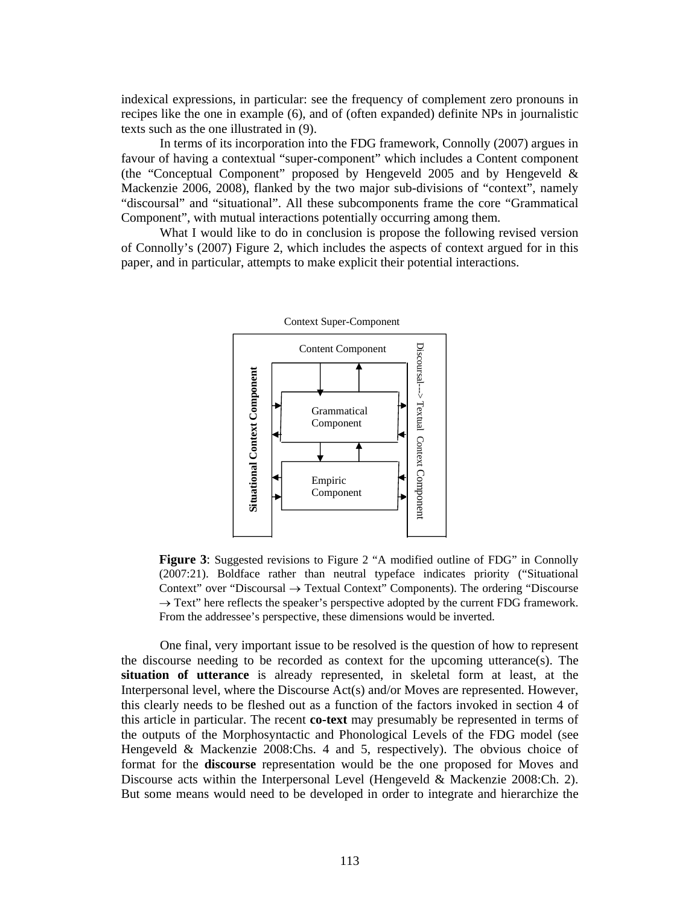indexical expressions, in particular: see the frequency of complement zero pronouns in recipes like the one in example (6), and of (often expanded) definite NPs in journalistic texts such as the one illustrated in (9).

 In terms of its incorporation into the FDG framework, Connolly (2007) argues in favour of having a contextual "super-component" which includes a Content component (the "Conceptual Component" proposed by Hengeveld 2005 and by Hengeveld & Mackenzie 2006, 2008), flanked by the two major sub-divisions of "context", namely "discoursal" and "situational". All these subcomponents frame the core "Grammatical Component", with mutual interactions potentially occurring among them.

 What I would like to do in conclusion is propose the following revised version of Connolly's (2007) Figure 2, which includes the aspects of context argued for in this paper, and in particular, attempts to make explicit their potential interactions.



**Figure 3**: Suggested revisions to Figure 2 "A modified outline of FDG" in Connolly (2007:21). Boldface rather than neutral typeface indicates priority ("Situational Context" over "Discoursal  $\rightarrow$  Textual Context" Components). The ordering "Discourse"  $\rightarrow$  Text" here reflects the speaker's perspective adopted by the current FDG framework. From the addressee's perspective, these dimensions would be inverted.

 One final, very important issue to be resolved is the question of how to represent the discourse needing to be recorded as context for the upcoming utterance(s). The **situation of utterance** is already represented, in skeletal form at least, at the Interpersonal level, where the Discourse Act(s) and/or Moves are represented. However, this clearly needs to be fleshed out as a function of the factors invoked in section 4 of this article in particular. The recent **co-text** may presumably be represented in terms of the outputs of the Morphosyntactic and Phonological Levels of the FDG model (see Hengeveld & Mackenzie 2008:Chs. 4 and 5, respectively). The obvious choice of format for the **discourse** representation would be the one proposed for Moves and Discourse acts within the Interpersonal Level (Hengeveld & Mackenzie 2008:Ch. 2). Content Component<br>
Component<br>
Component<br>
Component<br>
Component<br>
Component<br>
Component<br>
Component<br>
Component<br>
Component<br>
Component<br>
Component<br>
Component<br>
Devel<sup>2</sup> over "Discourse and Devel Component<br>
Component Component<br>
Comp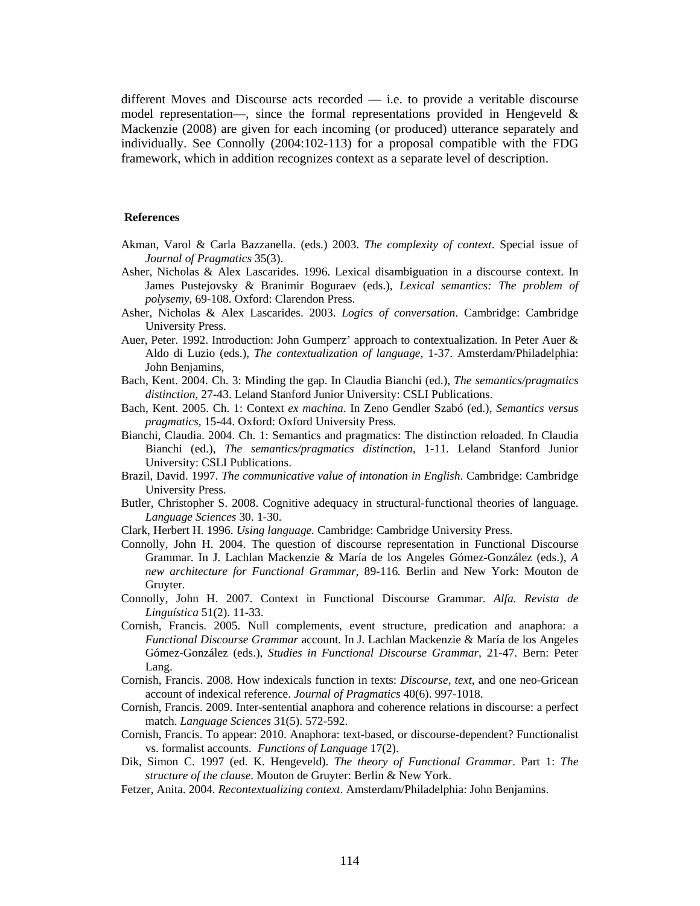different Moves and Discourse acts recorded — i.e. to provide a veritable discourse model representation—, since the formal representations provided in Hengeveld  $\&$ Mackenzie (2008) are given for each incoming (or produced) utterance separately and individually. See Connolly (2004:102-113) for a proposal compatible with the FDG framework, which in addition recognizes context as a separate level of description.

#### **References**

- Akman, Varol & Carla Bazzanella. (eds.) 2003. *The complexity of context*. Special issue of *Journal of Pragmatics* 35(3).
- Asher, Nicholas & Alex Lascarides. 1996. Lexical disambiguation in a discourse context. In James Pustejovsky & Branimir Boguraev (eds.), *Lexical semantics: The problem of polysemy,* 69-108. Oxford: Clarendon Press.
- Asher, Nicholas & Alex Lascarides. 2003. *Logics of conversation*. Cambridge: Cambridge University Press.
- Auer, Peter. 1992. Introduction: John Gumperz' approach to contextualization. In Peter Auer & Aldo di Luzio (eds.), *The contextualization of language,* 1-37. Amsterdam/Philadelphia: John Benjamins,
- Bach, Kent. 2004. Ch. 3: Minding the gap. In Claudia Bianchi (ed.), *The semantics/pragmatics distinction,* 27-43. Leland Stanford Junior University: CSLI Publications.
- Bach, Kent. 2005. Ch. 1: Context *ex machina*. In Zeno Gendler Szabó (ed.), *Semantics versus pragmatics,* 15-44. Oxford: Oxford University Press.
- Bianchi, Claudia. 2004. Ch. 1: Semantics and pragmatics: The distinction reloaded. In Claudia Bianchi (ed.), *The semantics/pragmatics distinction,* 1-11. Leland Stanford Junior University: CSLI Publications.
- Brazil, David. 1997. *The communicative value of intonation in English*. Cambridge: Cambridge University Press.
- Butler, Christopher S. 2008. Cognitive adequacy in structural-functional theories of language. *Language Sciences* 30. 1-30.
- Clark, Herbert H. 1996. *Using language.* Cambridge: Cambridge University Press.
- Connolly, John H. 2004. The question of discourse representation in Functional Discourse Grammar. In J. Lachlan Mackenzie & María de los Angeles Gómez-González (eds.), *A new architecture for Functional Grammar,* 89-116*.* Berlin and New York: Mouton de Gruyter.
- Connolly, John H. 2007. Context in Functional Discourse Grammar. *Alfa. Revista de Linguística* 51(2). 11-33.
- Cornish, Francis. 2005. Null complements, event structure, predication and anaphora: a *Functional Discourse Grammar* account. In J. Lachlan Mackenzie & María de los Angeles Gómez-González (eds.), *Studies in Functional Discourse Grammar,* 21-47. Bern: Peter Lang.
- Cornish, Francis. 2008. How indexicals function in texts: *Discourse, text*, and one neo-Gricean account of indexical reference. *Journal of Pragmatics* 40(6). 997-1018.
- Cornish, Francis. 2009. Inter-sentential anaphora and coherence relations in discourse: a perfect match. *Language Sciences* 31(5). 572-592.
- Cornish, Francis. To appear: 2010. Anaphora: text-based, or discourse-dependent? Functionalist vs. formalist accounts. *Functions of Language* 17(2).
- Dik, Simon C. 1997 (ed. K. Hengeveld). *The theory of Functional Grammar*. Part 1: *The structure of the clause*. Mouton de Gruyter: Berlin & New York.
- Fetzer, Anita. 2004. *Recontextualizing context*. Amsterdam/Philadelphia: John Benjamins.